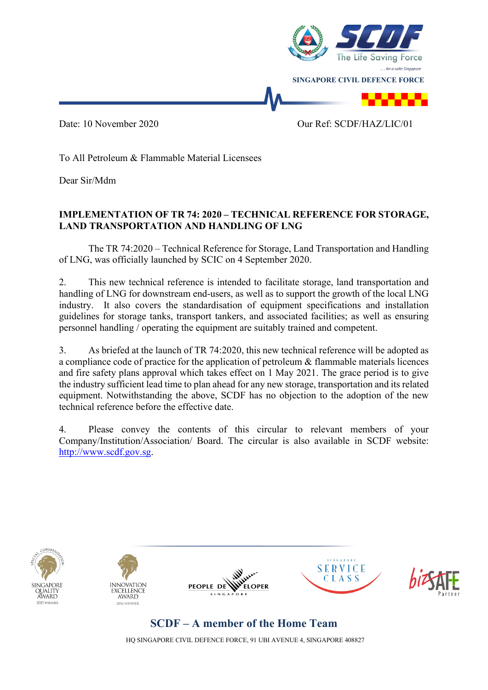

To All Petroleum & Flammable Material Licensees

Dear Sir/Mdm

## **IMPLEMENTATION OF TR 74: 2020 – TECHNICAL REFERENCE FOR STORAGE, LAND TRANSPORTATION AND HANDLING OF LNG**

The TR 74:2020 – Technical Reference for Storage, Land Transportation and Handling of LNG, was officially launched by SCIC on 4 September 2020.

2. This new technical reference is intended to facilitate storage, land transportation and handling of LNG for downstream end-users, as well as to support the growth of the local LNG industry. It also covers the standardisation of equipment specifications and installation guidelines for storage tanks, transport tankers, and associated facilities; as well as ensuring personnel handling / operating the equipment are suitably trained and competent.

3. As briefed at the launch of TR 74:2020, this new technical reference will be adopted as a compliance code of practice for the application of petroleum & flammable materials licences and fire safety plans approval which takes effect on 1 May 2021. The grace period is to give the industry sufficient lead time to plan ahead for any new storage, transportation and its related equipment. Notwithstanding the above, SCDF has no objection to the adoption of the new technical reference before the effective date.

4. Please convey the contents of this circular to relevant members of your Company/Institution/Association/ Board. The circular is also available in SCDF website: [http://www.scdf.gov.sg.](http://www.scdf.gov.sg/)











## **SCDF – A member of the Home Team**

HQ SINGAPORE CIVIL DEFENCE FORCE, 91 UBI AVENUE 4, SINGAPORE 408827